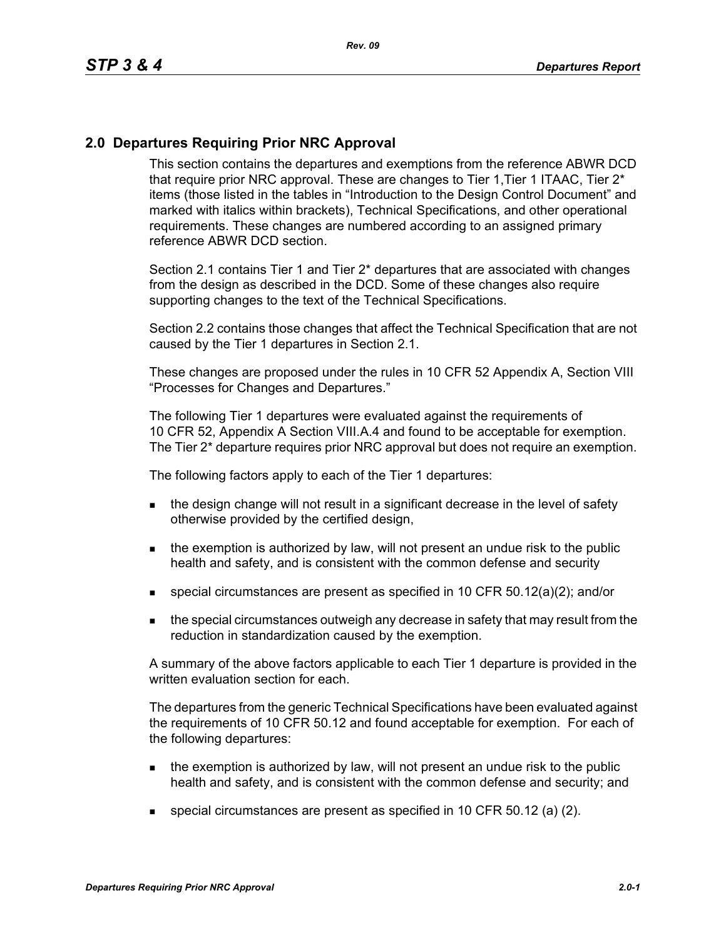## **2.0 Departures Requiring Prior NRC Approval**

This section contains the departures and exemptions from the reference ABWR DCD that require prior NRC approval. These are changes to Tier 1, Tier 1 ITAAC, Tier 2<sup>\*</sup> items (those listed in the tables in "Introduction to the Design Control Document" and marked with italics within brackets), Technical Specifications, and other operational requirements. These changes are numbered according to an assigned primary reference ABWR DCD section.

Section 2.1 contains Tier 1 and Tier 2\* departures that are associated with changes from the design as described in the DCD. Some of these changes also require supporting changes to the text of the Technical Specifications.

Section 2.2 contains those changes that affect the Technical Specification that are not caused by the Tier 1 departures in Section 2.1.

These changes are proposed under the rules in 10 CFR 52 Appendix A, Section VIII "Processes for Changes and Departures."

The following Tier 1 departures were evaluated against the requirements of 10 CFR 52, Appendix A Section VIII.A.4 and found to be acceptable for exemption. The Tier 2\* departure requires prior NRC approval but does not require an exemption.

The following factors apply to each of the Tier 1 departures:

- the design change will not result in a significant decrease in the level of safety otherwise provided by the certified design,
- $\blacksquare$  the exemption is authorized by law, will not present an undue risk to the public health and safety, and is consistent with the common defense and security
- special circumstances are present as specified in 10 CFR 50.12(a)(2); and/or
- **the special circumstances outweigh any decrease in safety that may result from the** reduction in standardization caused by the exemption.

A summary of the above factors applicable to each Tier 1 departure is provided in the written evaluation section for each.

The departures from the generic Technical Specifications have been evaluated against the requirements of 10 CFR 50.12 and found acceptable for exemption. For each of the following departures:

- **the exemption is authorized by law, will not present an undue risk to the public** health and safety, and is consistent with the common defense and security; and
- special circumstances are present as specified in 10 CFR 50.12 (a) (2).